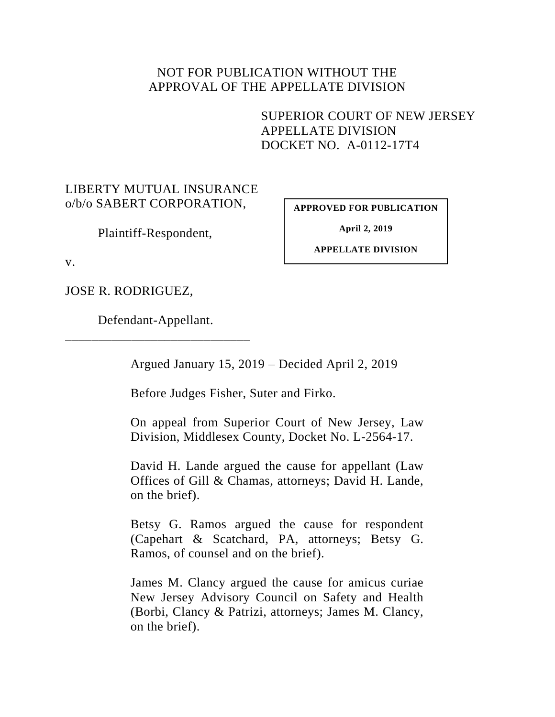## NOT FOR PUBLICATION WITHOUT THE APPROVAL OF THE APPELLATE DIVISION

SUPERIOR COURT OF NEW JERSEY APPELLATE DIVISION DOCKET NO. A-0112-17T4

## LIBERTY MUTUAL INSURANCE o/b/o SABERT CORPORATION,

Plaintiff-Respondent,

**APPROVED FOR PUBLICATION**

**April 2, 2019**

**APPELLATE DIVISION**

v.

JOSE R. RODRIGUEZ,

Defendant-Appellant. \_\_\_\_\_\_\_\_\_\_\_\_\_\_\_\_\_\_\_\_\_\_\_\_\_\_\_\_

Argued January 15, 2019 – Decided April 2, 2019

Before Judges Fisher, Suter and Firko.

On appeal from Superior Court of New Jersey, Law Division, Middlesex County, Docket No. L-2564-17.

David H. Lande argued the cause for appellant (Law Offices of Gill & Chamas, attorneys; David H. Lande, on the brief).

Betsy G. Ramos argued the cause for respondent (Capehart & Scatchard, PA, attorneys; Betsy G. Ramos, of counsel and on the brief).

James M. Clancy argued the cause for amicus curiae New Jersey Advisory Council on Safety and Health (Borbi, Clancy & Patrizi, attorneys; James M. Clancy, on the brief).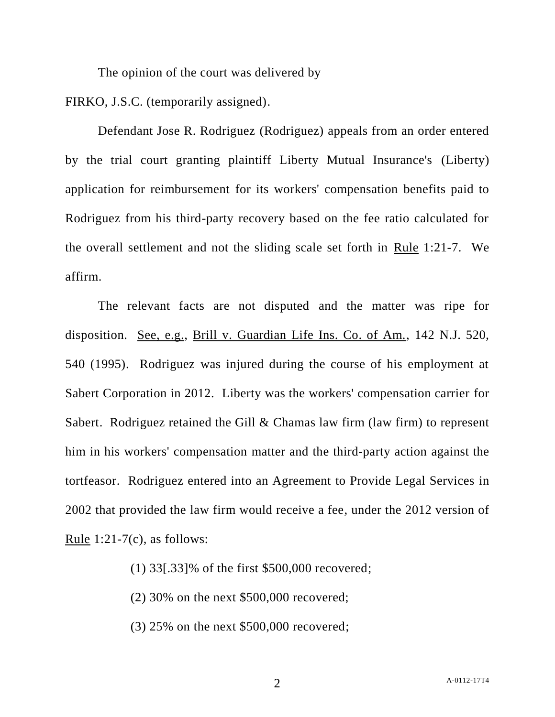The opinion of the court was delivered by

FIRKO, J.S.C. (temporarily assigned).

Defendant Jose R. Rodriguez (Rodriguez) appeals from an order entered by the trial court granting plaintiff Liberty Mutual Insurance's (Liberty) application for reimbursement for its workers' compensation benefits paid to Rodriguez from his third-party recovery based on the fee ratio calculated for the overall settlement and not the sliding scale set forth in Rule 1:21-7. We affirm.

The relevant facts are not disputed and the matter was ripe for disposition. See, e.g., Brill v. Guardian Life Ins. Co. of Am., 142 N.J. 520, 540 (1995). Rodriguez was injured during the course of his employment at Sabert Corporation in 2012. Liberty was the workers' compensation carrier for Sabert. Rodriguez retained the Gill & Chamas law firm (law firm) to represent him in his workers' compensation matter and the third-party action against the tortfeasor. Rodriguez entered into an Agreement to Provide Legal Services in 2002 that provided the law firm would receive a fee, under the 2012 version of Rule  $1:21-7(c)$ , as follows:

- (1) 33[.33]% of the first \$500,000 recovered;
- (2) 30% on the next \$500,000 recovered;
- (3) 25% on the next \$500,000 recovered;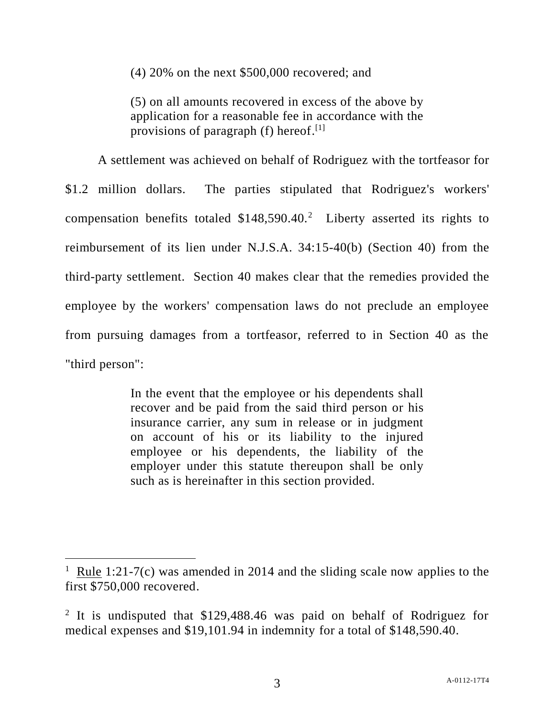(4) 20% on the next \$500,000 recovered; and

(5) on all amounts recovered in excess of the above by application for a reasonable fee in accordance with the provisions of paragraph (f) hereof.<sup>[1]</sup>

A settlement was achieved on behalf of Rodriguez with the tortfeasor for \$1.2 million dollars. The parties stipulated that Rodriguez's workers' compensation benefits totaled  $$148,590.40$ <sup>2</sup> Liberty asserted its rights to reimbursement of its lien under N.J.S.A. 34:15-40(b) (Section 40) from the third-party settlement. Section 40 makes clear that the remedies provided the employee by the workers' compensation laws do not preclude an employee from pursuing damages from a tortfeasor, referred to in Section 40 as the "third person":

> In the event that the employee or his dependents shall recover and be paid from the said third person or his insurance carrier, any sum in release or in judgment on account of his or its liability to the injured employee or his dependents, the liability of the employer under this statute thereupon shall be only such as is hereinafter in this section provided.

l

<sup>&</sup>lt;sup>1</sup> Rule 1:21-7(c) was amended in 2014 and the sliding scale now applies to the first \$750,000 recovered.

<sup>&</sup>lt;sup>2</sup> It is undisputed that \$129,488.46 was paid on behalf of Rodriguez for medical expenses and \$19,101.94 in indemnity for a total of \$148,590.40.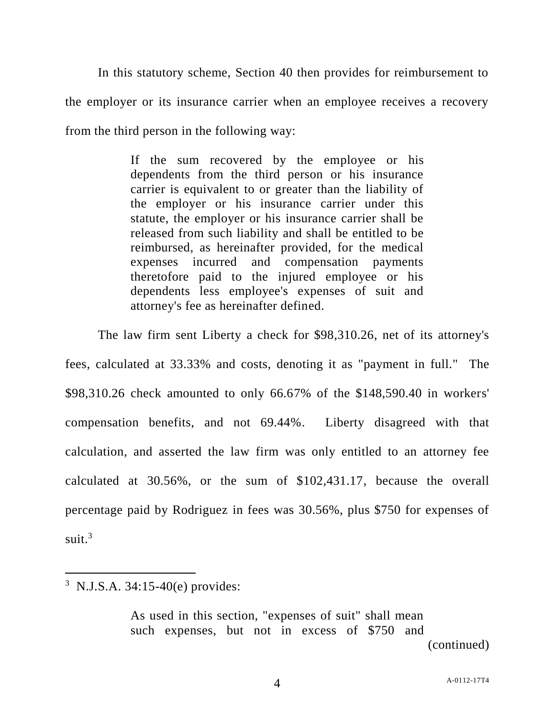In this statutory scheme, Section 40 then provides for reimbursement to the employer or its insurance carrier when an employee receives a recovery from the third person in the following way:

> If the sum recovered by the employee or his dependents from the third person or his insurance carrier is equivalent to or greater than the liability of the employer or his insurance carrier under this statute, the employer or his insurance carrier shall be released from such liability and shall be entitled to be reimbursed, as hereinafter provided, for the medical expenses incurred and compensation payments theretofore paid to the injured employee or his dependents less employee's expenses of suit and attorney's fee as hereinafter defined.

The law firm sent Liberty a check for \$98,310.26, net of its attorney's fees, calculated at 33.33% and costs, denoting it as "payment in full." The \$98,310.26 check amounted to only 66.67% of the \$148,590.40 in workers' compensation benefits, and not 69.44%. Liberty disagreed with that calculation, and asserted the law firm was only entitled to an attorney fee calculated at 30.56%, or the sum of \$102,431.17, because the overall percentage paid by Rodriguez in fees was 30.56%, plus \$750 for expenses of suit. 3

 $\overline{a}$ 

As used in this section, "expenses of suit" shall mean such expenses, but not in excess of \$750 and (continued)

<sup>3</sup> N.J.S.A. 34:15-40(e) provides: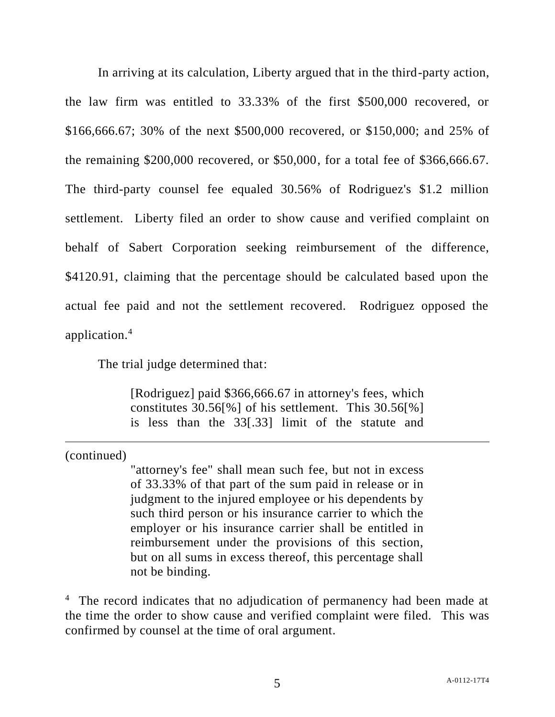In arriving at its calculation, Liberty argued that in the third-party action, the law firm was entitled to 33.33% of the first \$500,000 recovered, or \$166,666.67; 30% of the next \$500,000 recovered, or \$150,000; and 25% of the remaining \$200,000 recovered, or \$50,000, for a total fee of \$366,666.67. The third-party counsel fee equaled 30.56% of Rodriguez's \$1.2 million settlement. Liberty filed an order to show cause and verified complaint on behalf of Sabert Corporation seeking reimbursement of the difference, \$4120.91, claiming that the percentage should be calculated based upon the actual fee paid and not the settlement recovered. Rodriguez opposed the application.<sup>4</sup>

The trial judge determined that:

[Rodriguez] paid \$366,666.67 in attorney's fees, which constitutes 30.56[%] of his settlement. This 30.56[%] is less than the 33[.33] limit of the statute and

(continued)

 $\overline{a}$ 

"attorney's fee" shall mean such fee, but not in excess of 33.33% of that part of the sum paid in release or in judgment to the injured employee or his dependents by such third person or his insurance carrier to which the employer or his insurance carrier shall be entitled in reimbursement under the provisions of this section, but on all sums in excess thereof, this percentage shall not be binding.

<sup>4</sup> The record indicates that no adjudication of permanency had been made at the time the order to show cause and verified complaint were filed. This was confirmed by counsel at the time of oral argument.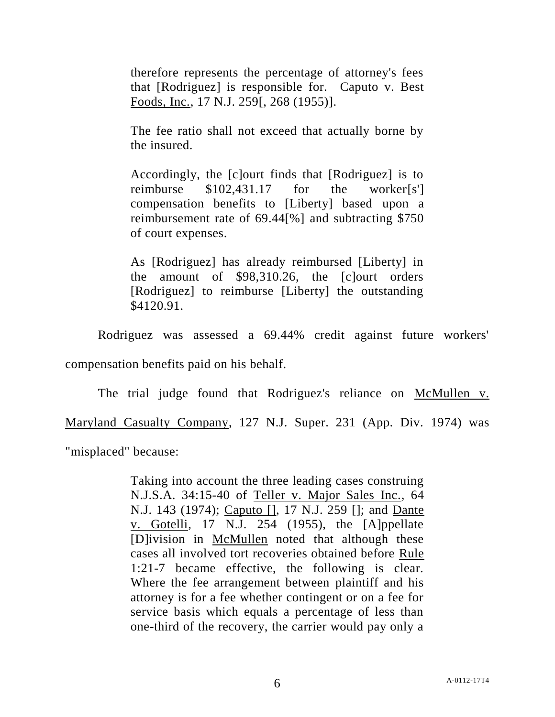therefore represents the percentage of attorney's fees that [Rodriguez] is responsible for. Caputo v. Best Foods, Inc., 17 N.J. 259[, 268 (1955)].

The fee ratio shall not exceed that actually borne by the insured.

Accordingly, the [c]ourt finds that [Rodriguez] is to reimburse \$102,431.17 for the worker[s'] compensation benefits to [Liberty] based upon a reimbursement rate of 69.44[%] and subtracting \$750 of court expenses.

As [Rodriguez] has already reimbursed [Liberty] in the amount of \$98,310.26, the [c]ourt orders [Rodriguez] to reimburse [Liberty] the outstanding \$4120.91.

Rodriguez was assessed a 69.44% credit against future workers' compensation benefits paid on his behalf.

The trial judge found that Rodriguez's reliance on McMullen v. Maryland Casualty Company, 127 N.J. Super. 231 (App. Div. 1974) was "misplaced" because:

> Taking into account the three leading cases construing N.J.S.A. 34:15-40 of Teller v. Major Sales Inc., 64 N.J. 143 (1974); Caputo [], 17 N.J. 259 []; and Dante v. Gotelli, 17 N.J. 254 (1955), the [A]ppellate [D]ivision in McMullen noted that although these cases all involved tort recoveries obtained before Rule 1:21-7 became effective, the following is clear. Where the fee arrangement between plaintiff and his attorney is for a fee whether contingent or on a fee for service basis which equals a percentage of less than one-third of the recovery, the carrier would pay only a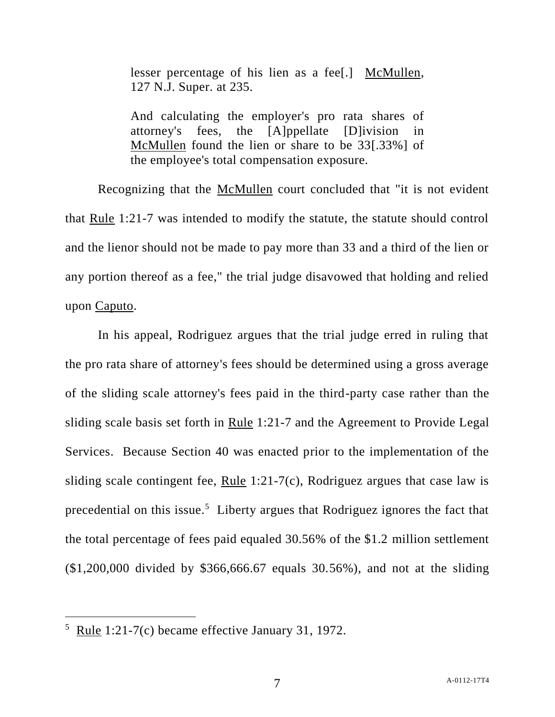lesser percentage of his lien as a fee[.] McMullen, 127 N.J. Super. at 235.

And calculating the employer's pro rata shares of attorney's fees, the [A]ppellate [D]ivision in McMullen found the lien or share to be 33[.33%] of the employee's total compensation exposure.

Recognizing that the McMullen court concluded that "it is not evident that Rule 1:21-7 was intended to modify the statute, the statute should control and the lienor should not be made to pay more than 33 and a third of the lien or any portion thereof as a fee," the trial judge disavowed that holding and relied upon Caputo.

In his appeal, Rodriguez argues that the trial judge erred in ruling that the pro rata share of attorney's fees should be determined using a gross average of the sliding scale attorney's fees paid in the third-party case rather than the sliding scale basis set forth in Rule 1:21-7 and the Agreement to Provide Legal Services. Because Section 40 was enacted prior to the implementation of the sliding scale contingent fee, Rule 1:21-7(c), Rodriguez argues that case law is precedential on this issue.<sup>5</sup> Liberty argues that Rodriguez ignores the fact that the total percentage of fees paid equaled 30.56% of the \$1.2 million settlement (\$1,200,000 divided by \$366,666.67 equals 30.56%), and not at the sliding

 $\overline{a}$ 

 $5$  Rule 1:21-7(c) became effective January 31, 1972.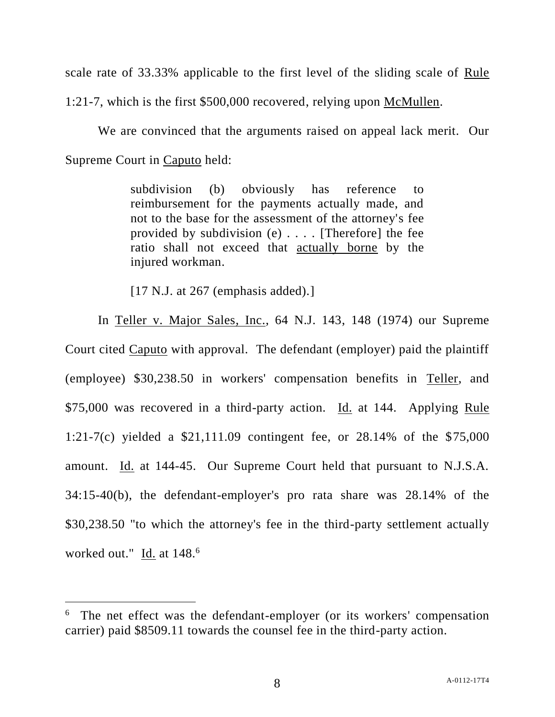scale rate of 33.33% applicable to the first level of the sliding scale of Rule 1:21-7, which is the first \$500,000 recovered, relying upon McMullen.

We are convinced that the arguments raised on appeal lack merit. Our Supreme Court in Caputo held:

> subdivision (b) obviously has reference to reimbursement for the payments actually made, and not to the base for the assessment of the attorney's fee provided by subdivision  $(e)$ .... [Therefore] the fee ratio shall not exceed that actually borne by the injured workman.

[17 N.J. at 267 (emphasis added).]

In Teller v. Major Sales, Inc., 64 N.J. 143, 148 (1974) our Supreme Court cited Caputo with approval. The defendant (employer) paid the plaintiff (employee) \$30,238.50 in workers' compensation benefits in Teller, and \$75,000 was recovered in a third-party action. Id. at 144. Applying Rule 1:21-7(c) yielded a \$21,111.09 contingent fee, or 28.14% of the \$75,000 amount. Id. at 144-45. Our Supreme Court held that pursuant to N.J.S.A. 34:15-40(b), the defendant-employer's pro rata share was 28.14% of the \$30,238.50 "to which the attorney's fee in the third-party settlement actually worked out." Id. at 148.<sup>6</sup>

 $\overline{a}$ 

<sup>&</sup>lt;sup>6</sup> The net effect was the defendant-employer (or its workers' compensation carrier) paid \$8509.11 towards the counsel fee in the third-party action.